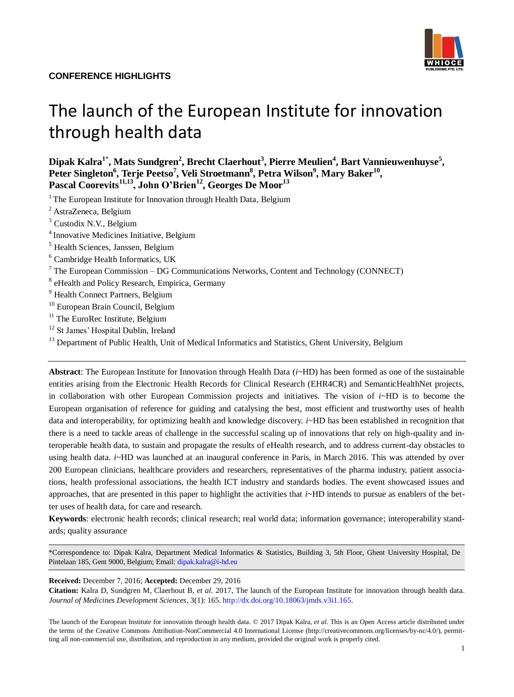

# The launch of the European Institute for innovation through health data

**Dipak Kalra<sup>1</sup>**\* **, Mats Sundgren<sup>2</sup> , Brecht Claerhout<sup>3</sup> , Pierre Meulien<sup>4</sup> , Bart Vannieuwenhuyse<sup>5</sup> , Peter Singleton<sup>6</sup> , Terje Peetso<sup>7</sup> , Veli Stroetmann<sup>8</sup> , Petra Wilson<sup>9</sup> , Mary Baker<sup>10</sup> , Pascal Coorevits11,13, John O'Brien<sup>12</sup>, Georges De Moor<sup>13</sup>**

<sup>1</sup> The European Institute for Innovation through Health Data, Belgium

- <sup>2</sup> AstraZeneca, Belgium
- <sup>3</sup> Custodix N.V., Belgium
- <sup>4</sup> Innovative Medicines Initiative, Belgium
- <sup>5</sup> Health Sciences, Janssen, Belgium
- <sup>6</sup> Cambridge Health Informatics, UK
- $<sup>7</sup>$  The European Commission DG Communications Networks, Content and Technology (CONNECT)</sup>
- <sup>8</sup> eHealth and Policy Research, Empirica, Germany
- <sup>9</sup> Health Connect Partners, Belgium
- <sup>10</sup> European Brain Council, Belgium
- $11$  The EuroRec Institute, Belgium
- <sup>12</sup> St James' Hospital Dublin, Ireland
- <sup>13</sup> Department of Public Health, Unit of Medical Informatics and Statistics, Ghent University, Belgium

**Abstract**: The European Institute for Innovation through Health Data (*i*~HD) has been formed as one of the sustainable entities arising from the Electronic Health Records for Clinical Research (EHR4CR) and SemanticHealthNet projects, in collaboration with other European Commission projects and initiatives. The vision of *i*~HD is to become the European organisation of reference for guiding and catalysing the best, most efficient and trustworthy uses of health data and interoperability, for optimizing health and knowledge discovery. *i*~HD has been established in recognition that there is a need to tackle areas of challenge in the successful scaling up of innovations that rely on high-quality and interoperable health data, to sustain and propagate the results of eHealth research, and to address current-day obstacles to using health data. *i*~HD was launched at an inaugural conference in Paris, in March 2016. This was attended by over 200 European clinicians, healthcare providers and researchers, representatives of the pharma industry, patient associations, health professional associations, the health ICT industry and standards bodies. The event showcased issues and approaches, that are presented in this paper to highlight the activities that *i*~HD intends to pursue as enablers of the better uses of health data, for care and research.

**Keywords**: electronic health records; clinical research; real world data; information governance; interoperability standards; quality assurance

\*Correspondence to: Dipak Kalra, Department Medical Informatics & Statistics, Building 3, 5th Floor, Ghent University Hospital, De Pintelaan 185, Gent 9000, Belgium; Email: [dipak.kalra@i-hd.eu](Email:%20dipak.kalra@i-hd.eu)

#### **Received:** December 7, 2016; **Accepted:** December 29, 2016

**Citation:** Kalra D, Sundgren M, Claerhout B, *et al.* 2017, The launch of the European Institute for innovation through health data. *Journal of Medicines Development Sciences*, 3(1): 165. [http://dx.doi.org/10.18063/jmds.v3i1.165.](http://dx.doi.org/10.18063/jmds.v3i1.165)

The launch of the European Institute for innovation through health data. © 2017 Dipak Kalra, *et al*. This is an Open Access article distributed under the terms of the Creative Commons Attribution-NonCommercial 4.0 International License (http://creativecommons.org/licenses/by-nc/4.0/), permitting all non-commercial use, distribution, and reproduction in any medium, provided the original work is properly cited.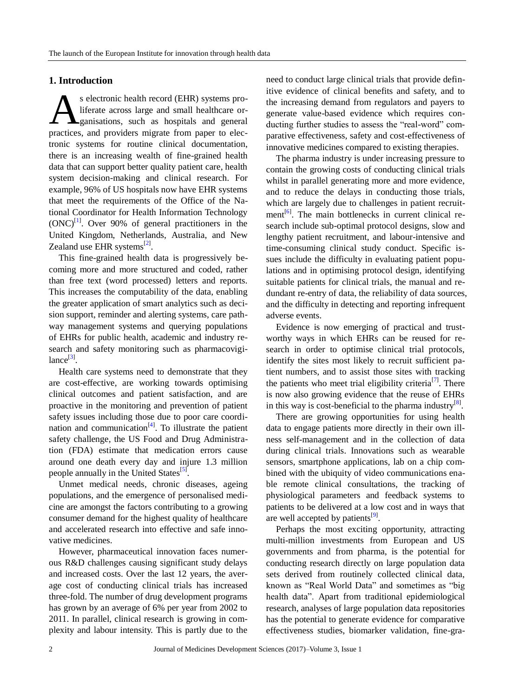## **1. Introduction**

s electronic health record (EHR) systems proliferate across large and small healthcare organisations, such as hospitals and general practices, and providers migrate from paper to electronic systems for routine clinical documentation, there is an increasing wealth of fine-grained health data that can support better quality patient care, health system decision-making and clinical research. For example, 96% of US hospitals now have EHR systems that meet the requirements of the Office of the National Coordinator for Health Information Technology  $(ONC)^{[1]}$  $(ONC)^{[1]}$  $(ONC)^{[1]}$ . Over 90% of general practitioners in the United Kingdom, Netherlands, Australia, and New Zealand use EHR systems $^{[2]}$  $^{[2]}$  $^{[2]}$ . A

This fine-grained health data is progressively becoming more and more structured and coded, rather than free text (word processed) letters and reports. This increases the computability of the data, enabling the greater application of smart analytics such as decision support, reminder and alerting systems, care pathway management systems and querying populations of EHRs for public health, academic and industry research and safety monitoring such as pharmacovigi- $lance^{[3]}$  $lance^{[3]}$  $lance^{[3]}$ .

Health care systems need to demonstrate that they are cost-effective, are working towards optimising clinical outcomes and patient satisfaction, and are proactive in the monitoring and prevention of patient safety issues including those due to poor care coordination and communication $^{[4]}$  $^{[4]}$  $^{[4]}$ . To illustrate the patient safety challenge, the US Food and Drug Administration (FDA) estimate that medication errors cause around one death every day and injure 1.3 million people annually in the United States<sup>[\[5\]](#page-12-4)</sup>.

Unmet medical needs, chronic diseases, ageing populations, and the emergence of personalised medicine are amongst the factors contributing to a growing consumer demand for the highest quality of healthcare and accelerated research into effective and safe innovative medicines.

However, pharmaceutical innovation faces numerous R&D challenges causing significant study delays and increased costs. Over the last 12 years, the average cost of conducting clinical trials has increased three-fold. The number of drug development programs has grown by an average of 6% per year from 2002 to 2011. In parallel, clinical research is growing in complexity and labour intensity. This is partly due to the need to conduct large clinical trials that provide definitive evidence of clinical benefits and safety, and to the increasing demand from regulators and payers to generate value-based evidence which requires conducting further studies to assess the "real-word" comparative effectiveness, safety and cost-effectiveness of innovative medicines compared to existing therapies.

The pharma industry is under increasing pressure to contain the growing costs of conducting clinical trials whilst in parallel generating more and more evidence, and to reduce the delays in conducting those trials, which are largely due to challenges in patient recruit-ment<sup>[\[6\]](#page-12-5)</sup>. The main bottlenecks in current clinical research include sub-optimal protocol designs, slow and lengthy patient recruitment, and labour-intensive and time-consuming clinical study conduct. Specific issues include the difficulty in evaluating patient populations and in optimising protocol design, identifying suitable patients for clinical trials, the manual and redundant re-entry of data, the reliability of data sources, and the difficulty in detecting and reporting infrequent adverse events.

Evidence is now emerging of practical and trustworthy ways in which EHRs can be reused for research in order to optimise clinical trial protocols, identify the sites most likely to recruit sufficient patient numbers, and to assist those sites with tracking the patients who meet trial eligibility criteria<sup>[\[7\]](#page-12-6)</sup>. There is now also growing evidence that the reuse of EHRs in this way is cost-beneficial to the pharma industry<sup>[\[8\]](#page-12-7)</sup>.

There are growing opportunities for using health data to engage patients more directly in their own illness self-management and in the collection of data during clinical trials. Innovations such as wearable sensors, smartphone applications, lab on a chip combined with the ubiquity of video communications enable remote clinical consultations, the tracking of physiological parameters and feedback systems to patients to be delivered at a low cost and in ways that are well accepted by patients $^{[9]}$  $^{[9]}$  $^{[9]}$ .

Perhaps the most exciting opportunity, attracting multi-million investments from European and US governments and from pharma, is the potential for conducting research directly on large population data sets derived from routinely collected clinical data, known as "Real World Data" and sometimes as "big health data". Apart from traditional epidemiological research, analyses of large population data repositories has the potential to generate evidence for comparative effectiveness studies, biomarker validation, fine-gra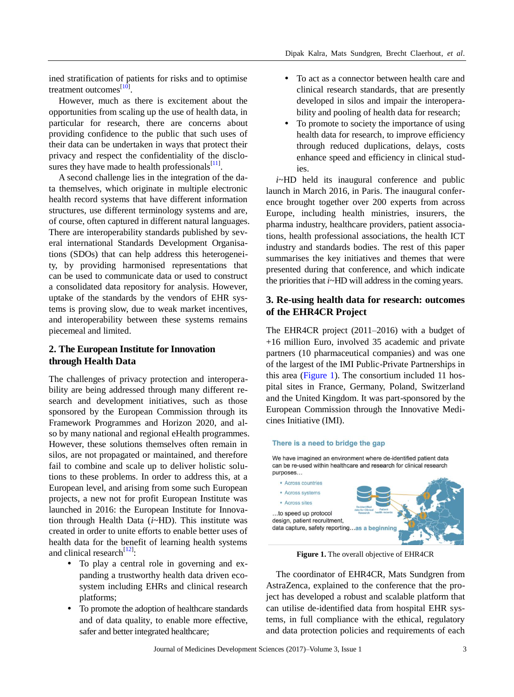ined stratification of patients for risks and to optimise treatment outcomes<sup>[\[10\]](#page-12-9)</sup>.

However, much as there is excitement about the opportunities from scaling up the use of health data, in particular for research, there are concerns about providing confidence to the public that such uses of their data can be undertaken in ways that protect their privacy and respect the confidentiality of the disclosures they have made to health professionals $^{[11]}$  $^{[11]}$  $^{[11]}$ .

A second challenge lies in the integration of the data themselves, which originate in multiple electronic health record systems that have different information structures, use different terminology systems and are, of course, often captured in different natural languages. There are interoperability standards published by several international Standards Development Organisations (SDOs) that can help address this heterogeneity, by providing harmonised representations that can be used to communicate data or used to construct a consolidated data repository for analysis. However, uptake of the standards by the vendors of EHR systems is proving slow, due to weak market incentives, and interoperability between these systems remains piecemeal and limited.

# **2. The European Institute for Innovation through Health Data**

The challenges of privacy protection and interoperability are being addressed through many different research and development initiatives, such as those sponsored by the European Commission through its Framework Programmes and Horizon 2020, and also by many national and regional eHealth programmes. However, these solutions themselves often remain in silos, are not propagated or maintained, and therefore fail to combine and scale up to deliver holistic solutions to these problems. In order to address this, at a European level, and arising from some such European projects, a new not for profit European Institute was launched in 2016: the European Institute for Innovation through Health Data (*i*~HD). This institute was created in order to unite efforts to enable better uses of health data for the benefit of learning health systems and clinical research<sup>[\[12\]](#page-12-11)</sup>:

- To play a central role in governing and expanding a trustworthy health data driven ecosystem including EHRs and clinical research platforms;
- To promote the adoption of healthcare standards and of data quality, to enable more effective, safer and better integrated healthcare;
- To act as a connector between health care and clinical research standards, that are presently developed in silos and impair the interoperability and pooling of health data for research;
- To promote to society the importance of using health data for research, to improve efficiency through reduced duplications, delays, costs enhance speed and efficiency in clinical studies.

*i*~HD held its inaugural conference and public launch in March 2016, in Paris. The inaugural conference brought together over 200 experts from across Europe, including health ministries, insurers, the pharma industry, healthcare providers, patient associations, health professional associations, the health ICT industry and standards bodies. The rest of this paper summarises the key initiatives and themes that were presented during that conference, and which indicate the priorities that *i*~HD will address in the coming years.

# **3. Re-using health data for research: outcomes of the EHR4CR Project**

The EHR4CR project (2011–2016) with a budget of +16 million Euro, involved 35 academic and private partners (10 pharmaceutical companies) and was one of the largest of the IMI Public-Private Partnerships in this area [\(Figure 1\)](#page-2-0). The consortium included 11 hospital sites in France, Germany, Poland, Switzerland and the United Kingdom. It was part-sponsored by the European Commission through the Innovative Medicines Initiative (IMI).

#### <span id="page-2-0"></span>There is a need to bridge the gap

We have imagined an environment where de-identified patient data can be re-used within healthcare and research for clinical research purposes... • Across countries **Across systems Across sites** ...to speed up protocol design, patient recruitment, data capture, safety reporting...as a beginning

**Figure 1.** The overall objective of EHR4CR

The coordinator of EHR4CR, Mats Sundgren from AstraZenca, explained to the conference that the project has developed a robust and scalable platform that can utilise de-identified data from hospital EHR systems, in full compliance with the ethical, regulatory and data protection policies and requirements of each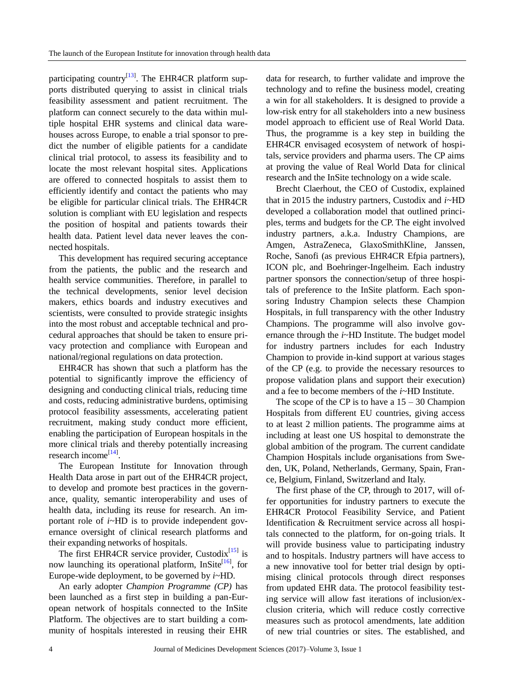participating country<sup>[\[13\]](#page-12-12)</sup>. The EHR4CR platform supports distributed querying to assist in clinical trials feasibility assessment and patient recruitment. The platform can connect securely to the data within multiple hospital EHR systems and clinical data warehouses across Europe, to enable a trial sponsor to predict the number of eligible patients for a candidate clinical trial protocol, to assess its feasibility and to locate the most relevant hospital sites. Applications are offered to connected hospitals to assist them to efficiently identify and contact the patients who may be eligible for particular clinical trials. The EHR4CR solution is compliant with EU legislation and respects the position of hospital and patients towards their health data. Patient level data never leaves the connected hospitals.

This development has required securing acceptance from the patients, the public and the research and health service communities. Therefore, in parallel to the technical developments, senior level decision makers, ethics boards and industry executives and scientists, were consulted to provide strategic insights into the most robust and acceptable technical and procedural approaches that should be taken to ensure privacy protection and compliance with European and national/regional regulations on data protection.

EHR4CR has shown that such a platform has the potential to significantly improve the efficiency of designing and conducting clinical trials, reducing time and costs, reducing administrative burdens, optimising protocol feasibility assessments, accelerating patient recruitment, making study conduct more efficient, enabling the participation of European hospitals in the more clinical trials and thereby potentially increasing research income<sup>[\[14\]](#page-13-0)</sup>.

The European Institute for Innovation through Health Data arose in part out of the EHR4CR project, to develop and promote best practices in the governance, quality, semantic interoperability and uses of health data, including its reuse for research. An important role of *i*~HD is to provide independent governance oversight of clinical research platforms and their expanding networks of hospitals.

The first EHR4CR service provider, Custodix $^{[15]}$  $^{[15]}$  $^{[15]}$  is now launching its operational platform, InSite<sup>[\[16\]](#page-13-2)</sup>, for Europe-wide deployment, to be governed by *i*~HD.

An early adopter *Champion Programme (CP)* has been launched as a first step in building a pan-European network of hospitals connected to the InSite Platform. The objectives are to start building a community of hospitals interested in reusing their EHR data for research, to further validate and improve the technology and to refine the business model, creating a win for all stakeholders. It is designed to provide a low-risk entry for all stakeholders into a new business model approach to efficient use of Real World Data. Thus, the programme is a key step in building the EHR4CR envisaged ecosystem of network of hospitals, service providers and pharma users. The CP aims at proving the value of Real World Data for clinical research and the InSite technology on a wide scale.

Brecht Claerhout, the CEO of Custodix, explained that in 2015 the industry partners, Custodix and *i*~HD developed a collaboration model that outlined principles, terms and budgets for the CP. The eight involved industry partners, a.k.a. Industry Champions, are Amgen, AstraZeneca, GlaxoSmithKline, Janssen, Roche, Sanofi (as previous EHR4CR Efpia partners), ICON plc, and Boehringer-Ingelheim. Each industry partner sponsors the connection/setup of three hospitals of preference to the InSite platform. Each sponsoring Industry Champion selects these Champion Hospitals, in full transparency with the other Industry Champions. The programme will also involve governance through the *i*~HD Institute. The budget model for industry partners includes for each Industry Champion to provide in-kind support at various stages of the CP (e.g. to provide the necessary resources to propose validation plans and support their execution) and a fee to become members of the *i*~HD Institute.

The scope of the CP is to have a  $15 - 30$  Champion Hospitals from different EU countries, giving access to at least 2 million patients. The programme aims at including at least one US hospital to demonstrate the global ambition of the program. The current candidate Champion Hospitals include organisations from Sweden, UK, Poland, Netherlands, Germany, Spain, France, Belgium, Finland, Switzerland and Italy.

The first phase of the CP, through to 2017, will offer opportunities for industry partners to execute the EHR4CR Protocol Feasibility Service, and Patient Identification & Recruitment service across all hospitals connected to the platform, for on-going trials. It will provide business value to participating industry and to hospitals. Industry partners will have access to a new innovative tool for better trial design by optimising clinical protocols through direct responses from updated EHR data. The protocol feasibility testing service will allow fast iterations of inclusion/exclusion criteria, which will reduce costly corrective measures such as protocol amendments, late addition of new trial countries or sites. The established, and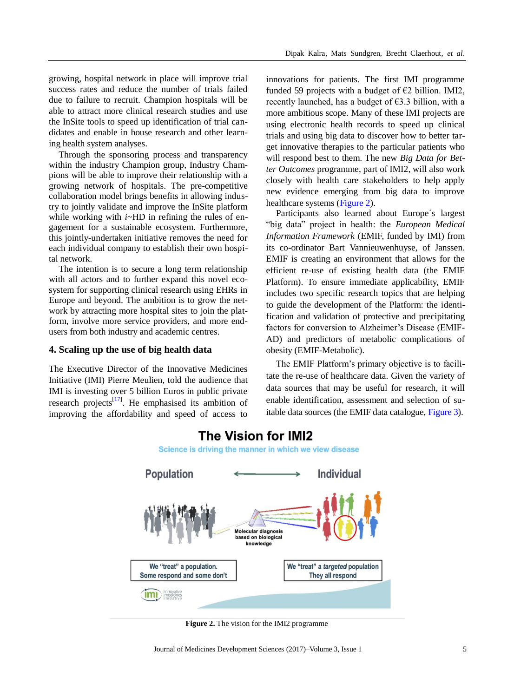growing, hospital network in place will improve trial success rates and reduce the number of trials failed due to failure to recruit. Champion hospitals will be able to attract more clinical research studies and use the InSite tools to speed up identification of trial candidates and enable in house research and other learning health system analyses.

Through the sponsoring process and transparency within the industry Champion group, Industry Champions will be able to improve their relationship with a growing network of hospitals. The pre-competitive collaboration model brings benefits in allowing industry to jointly validate and improve the InSite platform while working with *i*~HD in refining the rules of engagement for a sustainable ecosystem. Furthermore, this jointly-undertaken initiative removes the need for each individual company to establish their own hospital network.

The intention is to secure a long term relationship with all actors and to further expand this novel ecosystem for supporting clinical research using EHRs in Europe and beyond. The ambition is to grow the network by attracting more hospital sites to join the platform, involve more service providers, and more endusers from both industry and academic centres.

#### **4. Scaling up the use of big health data**

<span id="page-4-0"></span>The Executive Director of the Innovative Medicines Initiative (IMI) Pierre Meulien, told the audience that IMI is investing over 5 billion Euros in public private research projects $^{[17]}$  $^{[17]}$  $^{[17]}$ . He emphasised its ambition of improving the affordability and speed of access to

innovations for patients. The first IMI programme funded 59 projects with a budget of  $\epsilon$ 2 billion. IMI2, recently launched, has a budget of  $\epsilon$ 3.3 billion, with a more ambitious scope. Many of these IMI projects are using electronic health records to speed up clinical trials and using big data to discover how to better target innovative therapies to the particular patients who will respond best to them. The new *Big Data for Better Outcomes* programme, part of IMI2, will also work closely with health care stakeholders to help apply new evidence emerging from big data to improve healthcare systems [\(Figure 2\)](#page-4-0).

Participants also learned about Europe's largest ―big data‖ project in health: the *European Medical Information Framework* (EMIF, funded by IMI) from its co-ordinator Bart Vannieuwenhuyse, of Janssen. EMIF is creating an environment that allows for the efficient re-use of existing health data (the EMIF Platform). To ensure immediate applicability, EMIF includes two specific research topics that are helping to guide the development of the Platform: the identification and validation of protective and precipitating factors for conversion to Alzheimer's Disease (EMIF-AD) and predictors of metabolic complications of obesity (EMIF-Metabolic).

The EMIF Platform's primary objective is to facilitate the re-use of healthcare data. Given the variety of data sources that may be useful for research, it will enable identification, assessment and selection of suitable data sources (the EMIF data catalogue, [Figure 3\)](#page-5-0).



# **The Vision for IMI2**

Science is driving the manner in which we view disease

**Figure 2.** The vision for the IMI2 programme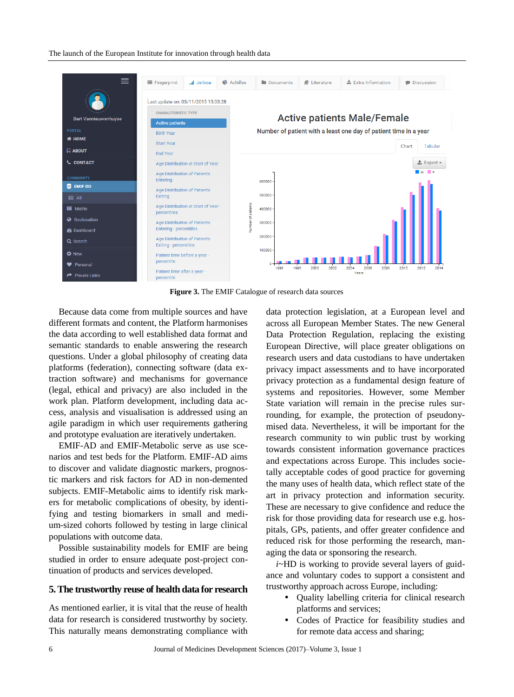#### The launch of the European Institute for innovation through health data

<span id="page-5-0"></span>

**Figure 3.** The EMIF Catalogue of research data sources

Because data come from multiple sources and have different formats and content, the Platform harmonises the data according to well established data format and semantic standards to enable answering the research questions. Under a global philosophy of creating data platforms (federation), connecting software (data extraction software) and mechanisms for governance (legal, ethical and privacy) are also included in the work plan. Platform development, including data access, analysis and visualisation is addressed using an agile paradigm in which user requirements gathering and prototype evaluation are iteratively undertaken.

EMIF-AD and EMIF-Metabolic serve as use scenarios and test beds for the Platform. EMIF-AD aims to discover and validate diagnostic markers, prognostic markers and risk factors for AD in non-demented subjects. EMIF-Metabolic aims to identify risk markers for metabolic complications of obesity, by identifying and testing biomarkers in small and medium-sized cohorts followed by testing in large clinical populations with outcome data.

Possible sustainability models for EMIF are being studied in order to ensure adequate post-project continuation of products and services developed.

#### **5. The trustworthy reuse of health data for research**

As mentioned earlier, it is vital that the reuse of health data for research is considered trustworthy by society. This naturally means demonstrating compliance with data protection legislation, at a European level and across all European Member States. The new General Data Protection Regulation, replacing the existing European Directive, will place greater obligations on research users and data custodians to have undertaken privacy impact assessments and to have incorporated privacy protection as a fundamental design feature of systems and repositories. However, some Member State variation will remain in the precise rules surrounding, for example, the protection of pseudonymised data. Nevertheless, it will be important for the research community to win public trust by working towards consistent information governance practices and expectations across Europe. This includes societally acceptable codes of good practice for governing the many uses of health data, which reflect state of the art in privacy protection and information security. These are necessary to give confidence and reduce the risk for those providing data for research use e.g. hospitals, GPs, patients, and offer greater confidence and reduced risk for those performing the research, managing the data or sponsoring the research.

*i*~HD is working to provide several layers of guidance and voluntary codes to support a consistent and trustworthy approach across Europe, including:

- Quality labelling criteria for clinical research platforms and services;
- Codes of Practice for feasibility studies and for remote data access and sharing;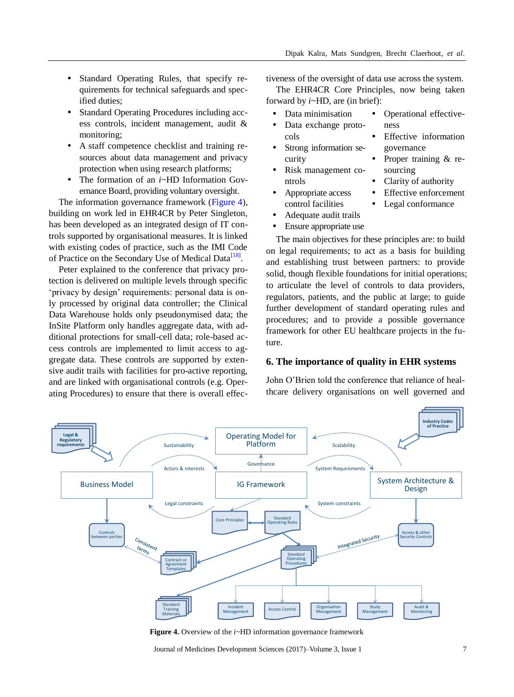- Standard Operating Rules, that specify requirements for technical safeguards and specified duties;
- Standard Operating Procedures including access controls, incident management, audit & monitoring;
- A staff competence checklist and training resources about data management and privacy protection when using research platforms;
- The formation of an *i*~HD Information Governance Board, providing voluntary oversight.

The information governance framework [\(Figure 4\)](#page-6-0), building on work led in EHR4CR by Peter Singleton, has been developed as an integrated design of IT controls supported by organisational measures. It is linked with existing codes of practice, such as the IMI Code of Practice on the Secondary Use of Medical Data<sup>[\[18\]](#page-13-4)</sup>.

Peter explained to the conference that privacy protection is delivered on multiple levels through specific 'privacy by design' requirements: personal data is only processed by original data controller; the Clinical Data Warehouse holds only pseudonymised data; the InSite Platform only handles aggregate data, with additional protections for small-cell data; role-based access controls are implemented to limit access to aggregate data. These controls are supported by extensive audit trails with facilities for pro-active reporting, and are linked with organisational controls (e.g. Operating Procedures) to ensure that there is overall effectiveness of the oversight of data use across the system.

The EHR4CR Core Principles, now being taken forward by *i*~HD, are (in brief):

- Data minimisation
- Data exchange protocols
- Strong information security
- Risk management controls
- Clarity of authority

governance

sourcing

• Operational effective-

Effective information

Proper training & re-

 Effective enforcement Legal conformance

ness

- Appropriate access control facilities
- Adequate audit trails
- Ensure appropriate use

The main objectives for these principles are: to build on legal requirements; to act as a basis for building and establishing trust between partners: to provide solid, though flexible foundations for initial operations; to articulate the level of controls to data providers, regulators, patients, and the public at large; to guide further development of standard operating rules and procedures; and to provide a possible governance framework for other EU healthcare projects in the future.

# **6. The importance of quality in EHR systems**

John O'Brien told the conference that reliance of healthcare delivery organisations on well governed and

<span id="page-6-0"></span>

**Figure 4.** Overview of the *i*~HD information governance framework

Journal of Medicines Development Sciences (2017)–Volume 3, Issue 1 7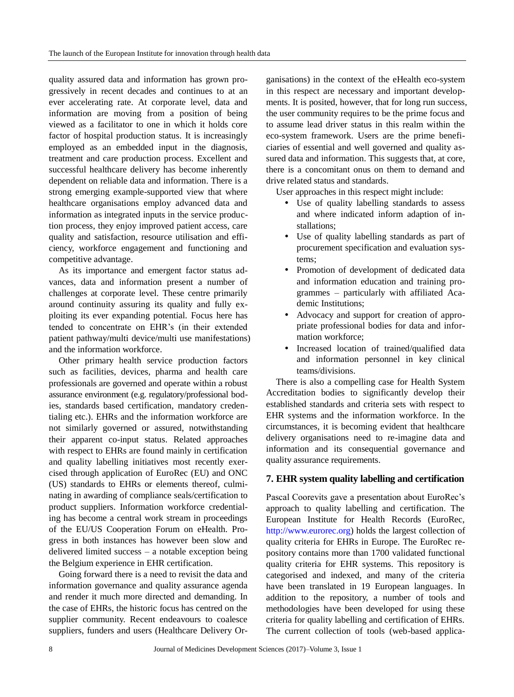quality assured data and information has grown progressively in recent decades and continues to at an ever accelerating rate. At corporate level, data and information are moving from a position of being viewed as a facilitator to one in which it holds core factor of hospital production status. It is increasingly employed as an embedded input in the diagnosis, treatment and care production process. Excellent and successful healthcare delivery has become inherently dependent on reliable data and information. There is a strong emerging example-supported view that where healthcare organisations employ advanced data and information as integrated inputs in the service production process, they enjoy improved patient access, care quality and satisfaction, resource utilisation and efficiency, workforce engagement and functioning and competitive advantage.

As its importance and emergent factor status advances, data and information present a number of challenges at corporate level. These centre primarily around continuity assuring its quality and fully exploiting its ever expanding potential. Focus here has tended to concentrate on EHR's (in their extended patient pathway/multi device/multi use manifestations) and the information workforce.

Other primary health service production factors such as facilities, devices, pharma and health care professionals are governed and operate within a robust assurance environment (e.g. regulatory/professional bodies, standards based certification, mandatory credentialing etc.). EHRs and the information workforce are not similarly governed or assured, notwithstanding their apparent co-input status. Related approaches with respect to EHRs are found mainly in certification and quality labelling initiatives most recently exercised through application of EuroRec (EU) and ONC (US) standards to EHRs or elements thereof, culminating in awarding of compliance seals/certification to product suppliers. Information workforce credentialing has become a central work stream in proceedings of the EU/US Cooperation Forum on eHealth. Progress in both instances has however been slow and delivered limited success – a notable exception being the Belgium experience in EHR certification.

Going forward there is a need to revisit the data and information governance and quality assurance agenda and render it much more directed and demanding. In the case of EHRs, the historic focus has centred on the supplier community. Recent endeavours to coalesce suppliers, funders and users (Healthcare Delivery Organisations) in the context of the eHealth eco-system in this respect are necessary and important developments. It is posited, however, that for long run success, the user community requires to be the prime focus and to assume lead driver status in this realm within the eco-system framework. Users are the prime beneficiaries of essential and well governed and quality assured data and information. This suggests that, at core, there is a concomitant onus on them to demand and drive related status and standards.

User approaches in this respect might include:

- Use of quality labelling standards to assess and where indicated inform adaption of installations;
- Use of quality labelling standards as part of procurement specification and evaluation systems;
- Promotion of development of dedicated data and information education and training programmes – particularly with affiliated Academic Institutions;
- Advocacy and support for creation of appropriate professional bodies for data and information workforce;
- Increased location of trained/qualified data and information personnel in key clinical teams/divisions.

There is also a compelling case for Health System Accreditation bodies to significantly develop their established standards and criteria sets with respect to EHR systems and the information workforce. In the circumstances, it is becoming evident that healthcare delivery organisations need to re-imagine data and information and its consequential governance and quality assurance requirements.

# **7. EHR system quality labelling and certification**

Pascal Coorevits gave a presentation about EuroRec's approach to quality labelling and certification. The European Institute for Health Records (EuroRec, [http://www.eurorec.org\)](http://www.eurorec.org/) holds the largest collection of quality criteria for EHRs in Europe. The EuroRec repository contains more than 1700 validated functional quality criteria for EHR systems. This repository is categorised and indexed, and many of the criteria have been translated in 19 European languages. In addition to the repository, a number of tools and methodologies have been developed for using these criteria for quality labelling and certification of EHRs. The current collection of tools (web-based applica-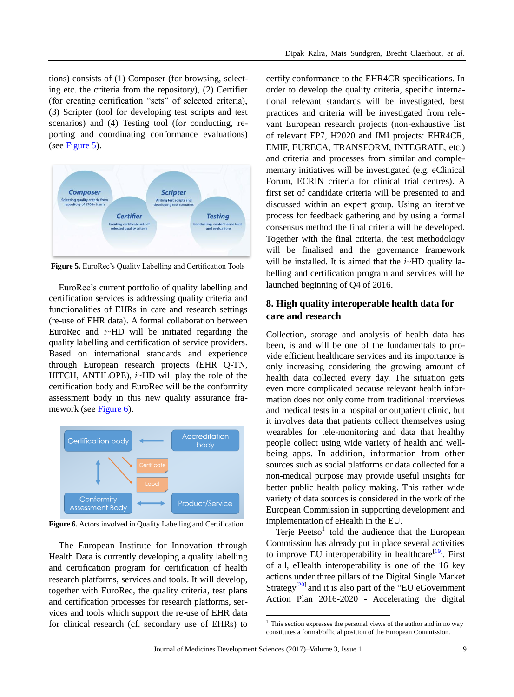tions) consists of (1) Composer (for browsing, selecting etc. the criteria from the repository), (2) Certifier (for creating certification "sets" of selected criteria), (3) Scripter (tool for developing test scripts and test scenarios) and (4) Testing tool (for conducting, reporting and coordinating conformance evaluations) (see Figure 5).



**Figure 5.** EuroRec's Quality Labelling and Certification Tools

EuroRec's current portfolio of quality labelling and certification services is addressing quality criteria and functionalities of EHRs in care and research settings (re-use of EHR data). A formal collaboration between EuroRec and *i*~HD will be initiated regarding the quality labelling and certification of service providers. Based on international standards and experience through European research projects (EHR Q-TN, HITCH, ANTILOPE), *i*~HD will play the role of the certification body and EuroRec will be the conformity assessment body in this new quality assurance framework (see Figure 6).



**Figure 6.** Actors involved in Quality Labelling and Certification

The European Institute for Innovation through Health Data is currently developing a quality labelling and certification program for certification of health research platforms, services and tools. It will develop, together with EuroRec, the quality criteria, test plans and certification processes for research platforms, services and tools which support the re-use of EHR data for clinical research (cf. secondary use of EHRs) to certify conformance to the EHR4CR specifications. In order to develop the quality criteria, specific international relevant standards will be investigated, best practices and criteria will be investigated from relevant European research projects (non-exhaustive list of relevant FP7, H2020 and IMI projects: EHR4CR, EMIF, EURECA, TRANSFORM, INTEGRATE, etc.) and criteria and processes from similar and complementary initiatives will be investigated (e.g. eClinical Forum, ECRIN criteria for clinical trial centres). A first set of candidate criteria will be presented to and discussed within an expert group. Using an iterative process for feedback gathering and by using a formal consensus method the final criteria will be developed. Together with the final criteria, the test methodology will be finalised and the governance framework will be installed. It is aimed that the *i*~HD quality labelling and certification program and services will be launched beginning of Q4 of 2016.

# **8. High quality interoperable health data for care and research**

Collection, storage and analysis of health data has been, is and will be one of the fundamentals to provide efficient healthcare services and its importance is only increasing considering the growing amount of health data collected every day. The situation gets even more complicated because relevant health information does not only come from traditional interviews and medical tests in a hospital or outpatient clinic, but it involves data that patients collect themselves using wearables for tele-monitoring and data that healthy people collect using wide variety of health and wellbeing apps. In addition, information from other sources such as social platforms or data collected for a non-medical purpose may provide useful insights for better public health policy making. This rather wide variety of data sources is considered in the work of the European Commission in supporting development and implementation of eHealth in the EU.

Terje Peetso $1$  told the audience that the European Commission has already put in place several activities to improve EU interoperability in healthcare $^{[19]}$  $^{[19]}$  $^{[19]}$ . First of all, eHealth interoperability is one of the 16 key actions under three pillars of the Digital Single Market Strategy<sup>[\[20\]](#page-13-6)</sup> and it is also part of the "EU eGovernment" Action Plan 2016-2020 - Accelerating the digital

1

<sup>&</sup>lt;sup>1</sup> This section expresses the personal views of the author and in no way constitutes a formal/official position of the European Commission.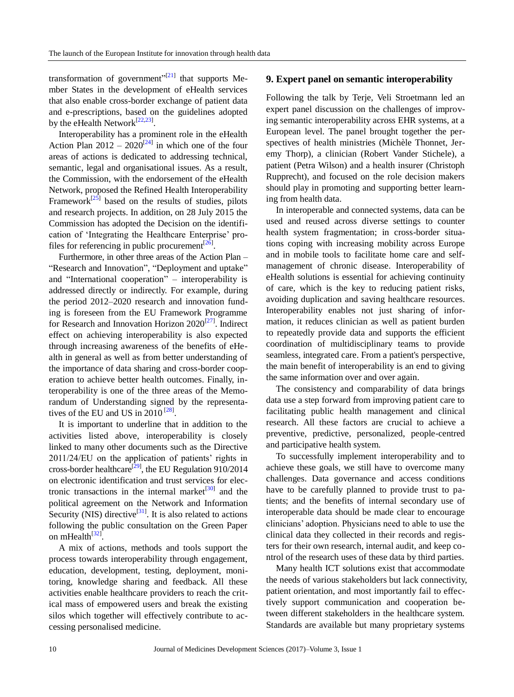transformation of government" $[21]$  that supports Member States in the development of eHealth services that also enable cross-border exchange of patient data and e-prescriptions, based on the guidelines adopted by the eHealth Network<sup>[\[22,](#page-13-8)[23\]](#page-13-9)</sup>.

Interoperability has a prominent role in the eHealth Action Plan  $2012 - 2020^{[24]}$  $2012 - 2020^{[24]}$  $2012 - 2020^{[24]}$  in which one of the four areas of actions is dedicated to addressing technical, semantic, legal and organisational issues. As a result, the Commission, with the endorsement of the eHealth Network, proposed the Refined Health Interoperability Framework<sup>[\[25\]](#page-13-11)</sup> based on the results of studies, pilots and research projects. In addition, on 28 July 2015 the Commission has adopted the Decision on the identification of ‗Integrating the Healthcare Enterprise' profiles for referencing in public procurement $^{[26]}$  $^{[26]}$  $^{[26]}$ .

Furthermore, in other three areas of the Action Plan – "Research and Innovation", "Deployment and uptake" and "International cooperation" – interoperability is addressed directly or indirectly. For example, during the period 2012–2020 research and innovation funding is foreseen from the EU Framework Programme for Research and Innovation Horizon 2020<sup>[\[27\]](#page-13-13)</sup>. Indirect effect on achieving interoperability is also expected through increasing awareness of the benefits of eHealth in general as well as from better understanding of the importance of data sharing and cross-border cooperation to achieve better health outcomes. Finally, interoperability is one of the three areas of the Memorandum of Understanding signed by the representatives of the EU and US in  $2010^{28}$ .

It is important to underline that in addition to the activities listed above, interoperability is closely linked to many other documents such as the Directive 2011/24/EU on the application of patients' rights in cross-border healthcare<sup>[\[29\]](#page-13-15)</sup>, the EU Regulation 910/2014 on electronic identification and trust services for electronic transactions in the internal market $^{[30]}$  $^{[30]}$  $^{[30]}$  and the political agreement on the Network and Information Security (NIS) directive<sup>[\[31\]](#page-13-17)</sup>. It is also related to actions following the public consultation on the Green Paper on mHealth<sup>[\[32\]](#page-13-18)</sup>.

A mix of actions, methods and tools support the process towards interoperability through engagement, education, development, testing, deployment, monitoring, knowledge sharing and feedback. All these activities enable healthcare providers to reach the critical mass of empowered users and break the existing silos which together will effectively contribute to accessing personalised medicine.

#### **9. Expert panel on semantic interoperability**

Following the talk by Terje, Veli Stroetmann led an expert panel discussion on the challenges of improving semantic interoperability across EHR systems, at a European level. The panel brought together the perspectives of health ministries (Michèle Thonnet, Jeremy Thorp), a clinician (Robert Vander Stichele), a patient (Petra Wilson) and a health insurer (Christoph Rupprecht), and focused on the role decision makers should play in promoting and supporting better learning from health data.

In interoperable and connected systems, data can be used and reused across diverse settings to counter health system fragmentation; in cross-border situations coping with increasing mobility across Europe and in mobile tools to facilitate home care and selfmanagement of chronic disease. Interoperability of eHealth solutions is essential for achieving continuity of care, which is the key to reducing patient risks, avoiding duplication and saving healthcare resources. Interoperability enables not just sharing of information, it reduces clinician as well as patient burden to repeatedly provide data and supports the efficient coordination of multidisciplinary teams to provide seamless, integrated care. From a patient's perspective, the main benefit of interoperability is an end to giving the same information over and over again.

The consistency and comparability of data brings data use a step forward from improving patient care to facilitating public health management and clinical research. All these factors are crucial to achieve a preventive, predictive, personalized, people-centred and participative health system.

To successfully implement interoperability and to achieve these goals, we still have to overcome many challenges. Data governance and access conditions have to be carefully planned to provide trust to patients; and the benefits of internal secondary use of interoperable data should be made clear to encourage clinicians' adoption. Physicians need to able to use the clinical data they collected in their records and registers for their own research, internal audit, and keep control of the research uses of these data by third parties.

Many health ICT solutions exist that accommodate the needs of various stakeholders but lack connectivity, patient orientation, and most importantly fail to effectively support communication and cooperation between different stakeholders in the healthcare system. Standards are available but many proprietary systems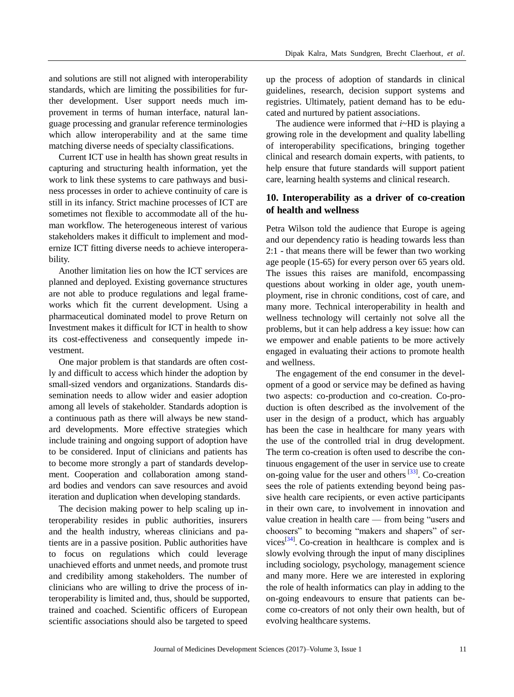and solutions are still not aligned with interoperability standards, which are limiting the possibilities for further development. User support needs much improvement in terms of human interface, natural language processing and granular reference terminologies which allow interoperability and at the same time matching diverse needs of specialty classifications.

Current ICT use in health has shown great results in capturing and structuring health information, yet the work to link these systems to care pathways and business processes in order to achieve continuity of care is still in its infancy. Strict machine processes of ICT are sometimes not flexible to accommodate all of the human workflow. The heterogeneous interest of various stakeholders makes it difficult to implement and modernize ICT fitting diverse needs to achieve interoperability.

Another limitation lies on how the ICT services are planned and deployed. Existing governance structures are not able to produce regulations and legal frameworks which fit the current development. Using a pharmaceutical dominated model to prove Return on Investment makes it difficult for ICT in health to show its cost-effectiveness and consequently impede investment.

One major problem is that standards are often costly and difficult to access which hinder the adoption by small-sized vendors and organizations. Standards dissemination needs to allow wider and easier adoption among all levels of stakeholder. Standards adoption is a continuous path as there will always be new standard developments. More effective strategies which include training and ongoing support of adoption have to be considered. Input of clinicians and patients has to become more strongly a part of standards development. Cooperation and collaboration among standard bodies and vendors can save resources and avoid iteration and duplication when developing standards.

The decision making power to help scaling up interoperability resides in public authorities, insurers and the health industry, whereas clinicians and patients are in a passive position. Public authorities have to focus on regulations which could leverage unachieved efforts and unmet needs, and promote trust and credibility among stakeholders. The number of clinicians who are willing to drive the process of interoperability is limited and, thus, should be supported, trained and coached. Scientific officers of European scientific associations should also be targeted to speed

up the process of adoption of standards in clinical guidelines, research, decision support systems and registries. Ultimately, patient demand has to be educated and nurtured by patient associations.

The audience were informed that *i*~HD is playing a growing role in the development and quality labelling of interoperability specifications, bringing together clinical and research domain experts, with patients, to help ensure that future standards will support patient care, learning health systems and clinical research.

## **10. Interoperability as a driver of co-creation of health and wellness**

Petra Wilson told the audience that Europe is ageing and our dependency ratio is heading towards less than 2:1 - that means there will be fewer than two working age people (15-65) for every person over 65 years old. The issues this raises are manifold, encompassing questions about working in older age, youth unemployment, rise in chronic conditions, cost of care, and many more. Technical interoperability in health and wellness technology will certainly not solve all the problems, but it can help address a key issue: how can we empower and enable patients to be more actively engaged in evaluating their actions to promote health and wellness.

The engagement of the end consumer in the development of a good or service may be defined as having two aspects: co-production and co-creation. Co-production is often described as the involvement of the user in the design of a product, which has arguably has been the case in healthcare for many years with the use of the controlled trial in drug development. The term co-creation is often used to describe the continuous engagement of the user in service use to create on-going value for the user and others $[33]$ . Co-creation sees the role of patients extending beyond being passive health care recipients, or even active participants in their own care, to involvement in innovation and value creation in health care — from being "users and choosers" to becoming "makers and shapers" of ser-vices<sup>[\[34\]](#page-13-20)</sup>. Co-creation in healthcare is complex and is slowly evolving through the input of many disciplines including sociology, psychology, management science and many more. Here we are interested in exploring the role of health informatics can play in adding to the on-going endeavours to ensure that patients can become co-creators of not only their own health, but of evolving healthcare systems.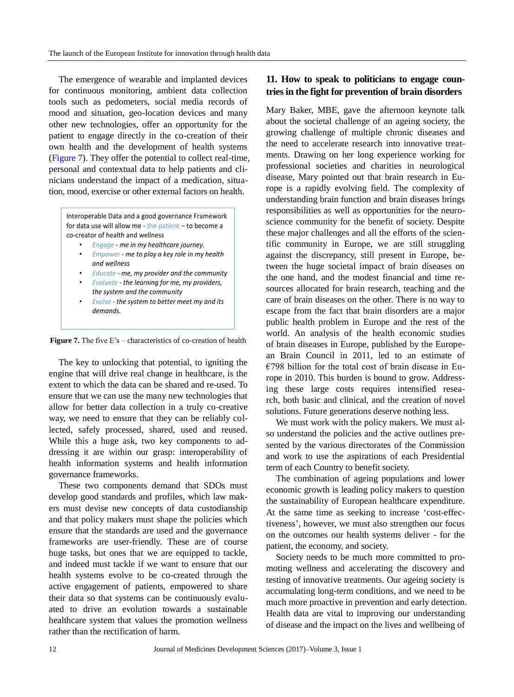The emergence of wearable and implanted devices for continuous monitoring, ambient data collection tools such as pedometers, social media records of mood and situation, geo-location devices and many other new technologies, offer an opportunity for the patient to engage directly in the co-creation of their own health and the development of health systems [\(Figure 7\)](#page-11-0). They offer the potential to collect real-time, personal and contextual data to help patients and clinicians understand the impact of a medication, situation, mood, exercise or other external factors on health.

<span id="page-11-0"></span>Interoperable Data and a good governance Framework for data use will allow me - the patient – to become a co-creator of health and wellness

- *Engage - me in my healthcare journey.*
- *Empower - me to play a key role in my health and wellness*
- *Educate - me, my provider and the community*
- *Evaluate - the learning for me, my providers, the system and the community*
- *Evolve - the system to better meet my and its demands.*

Figure 7. The five E's – characteristics of co-creation of health

The key to unlocking that potential, to igniting the engine that will drive real change in healthcare, is the extent to which the data can be shared and re-used. To ensure that we can use the many new technologies that allow for better data collection in a truly co-creative way, we need to ensure that they can be reliably collected, safely processed, shared, used and reused. While this a huge ask, two key components to addressing it are within our grasp: interoperability of health information systems and health information governance frameworks.

These two components demand that SDOs must develop good standards and profiles, which law makers must devise new concepts of data custodianship and that policy makers must shape the policies which ensure that the standards are used and the governance frameworks are user-friendly. These are of course huge tasks, but ones that we are equipped to tackle, and indeed must tackle if we want to ensure that our health systems evolve to be co-created through the active engagement of patients, empowered to share their data so that systems can be continuously evaluated to drive an evolution towards a sustainable healthcare system that values the promotion wellness rather than the rectification of harm.

# **11. How to speak to politicians to engage countries in the fight for prevention of brain disorders**

Mary Baker, MBE, gave the afternoon keynote talk about the societal challenge of an ageing society, the growing challenge of multiple chronic diseases and the need to accelerate research into innovative treatments. Drawing on her long experience working for professional societies and charities in neurological disease, Mary pointed out that brain research in Europe is a rapidly evolving field. The complexity of understanding brain function and brain diseases brings responsibilities as well as opportunities for the neuroscience community for the benefit of society. Despite these major challenges and all the efforts of the scientific community in Europe, we are still struggling against the discrepancy, still present in Europe, between the huge societal impact of brain diseases on the one hand, and the modest financial and time resources allocated for brain research, teaching and the care of brain diseases on the other. There is no way to escape from the fact that brain disorders are a major public health problem in Europe and the rest of the world. An analysis of the health economic studies of brain diseases in Europe, published by the European Brain Council in 2011, led to an estimate of  $€798$  billion for the total cost of brain disease in Europe in 2010. This burden is bound to grow. Addressing these large costs requires intensified research, both basic and clinical, and the creation of novel solutions. Future generations deserve nothing less.

We must work with the policy makers. We must also understand the policies and the active outlines presented by the various directorates of the Commission and work to use the aspirations of each Presidential term of each Country to benefit society.

The combination of ageing populations and lower economic growth is leading policy makers to question the sustainability of European healthcare expenditure. At the same time as seeking to increase 'cost-effectiveness', however, we must also strengthen our focus on the outcomes our health systems deliver - for the patient, the economy, and society.

Society needs to be much more committed to promoting wellness and accelerating the discovery and testing of innovative treatments. Our ageing society is accumulating long-term conditions, and we need to be much more proactive in prevention and early detection. Health data are vital to improving our understanding of disease and the impact on the lives and wellbeing of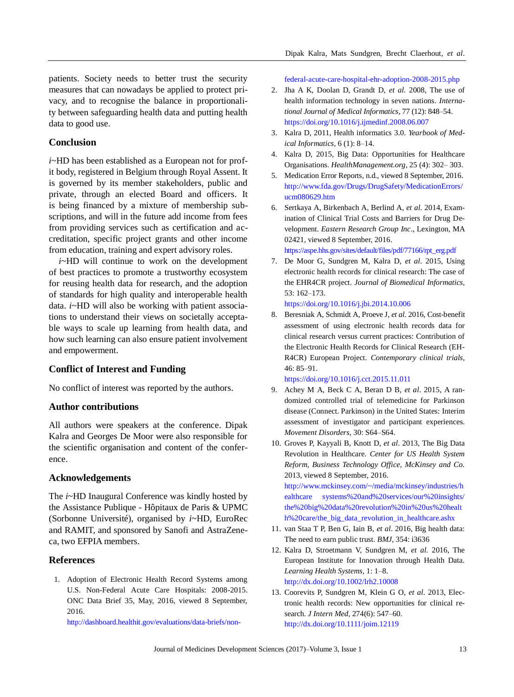patients. Society needs to better trust the security measures that can nowadays be applied to protect privacy, and to recognise the balance in proportionality between safeguarding health data and putting health data to good use.

#### **Conclusion**

*i*~HD has been established as a European not for profit body, registered in Belgium through Royal Assent. It is governed by its member stakeholders, public and private, through an elected Board and officers. It is being financed by a mixture of membership subscriptions, and will in the future add income from fees from providing services such as certification and accreditation, specific project grants and other income from education, training and expert advisory roles.

*i*~HD will continue to work on the development of best practices to promote a trustworthy ecosystem for reusing health data for research, and the adoption of standards for high quality and interoperable health data. *i*~HD will also be working with patient associations to understand their views on societally acceptable ways to scale up learning from health data, and how such learning can also ensure patient involvement and empowerment.

#### **Conflict of Interest and Funding**

No conflict of interest was reported by the authors.

#### **Author contributions**

All authors were speakers at the conference. Dipak Kalra and Georges De Moor were also responsible for the scientific organisation and content of the conference.

#### **Acknowledgements**

The *i*~HD Inaugural Conference was kindly hosted by the Assistance Publique - Hôpitaux de Paris & UPMC (Sorbonne Université), organised by *i*~HD, EuroRec and RAMIT, and sponsored by Sanofi and AstraZeneca, two EFPIA members.

#### **References**

<span id="page-12-0"></span>1. Adoption of Electronic Health Record Systems among U.S. Non-Federal Acute Care Hospitals: 2008-2015. ONC Data Brief 35, May, 2016, viewed 8 September, 2016.

[http://dashboard.healthit.gov/evaluations/data-briefs/non-](http://dashboard.healthit.gov/evaluations/data-briefs/non-%20federal-acute-care-hospital-ehr-adoption-2008-2015.php)

[federal-acute-care-hospital-ehr-adoption-2008-2015.php](http://dashboard.healthit.gov/evaluations/data-briefs/non-%20federal-acute-care-hospital-ehr-adoption-2008-2015.php)

- <span id="page-12-1"></span>2. Jha A K, Doolan D, Grandt D, *et al.* 2008, The use of health information technology in seven nations. *International Journal of Medical Informatics,* 77 (12): 848–54. <https://doi.org/10.1016/j.ijmedinf.2008.06.007>
- <span id="page-12-2"></span>3. Kalra D, 2011, Health informatics 3.0. *Yearbook of Medical Informatics*, 6 (1): 8–14.
- <span id="page-12-3"></span>4. Kalra D, 2015, Big Data: Opportunities for Healthcare Organisations. *HealthManagement.org*, 25 (4): 302– 303.
- <span id="page-12-4"></span>5. Medication Error Reports, n.d., viewed 8 September, 2016. [http://www.fda.gov/Drugs/DrugSafety/MedicationErrors/](http://www.fda.gov/Drugs/DrugSafety/MedicationErrors/ucm080629.htm) [ucm080629.htm](http://www.fda.gov/Drugs/DrugSafety/MedicationErrors/ucm080629.htm)
- <span id="page-12-5"></span>6. Sertkaya A, Birkenbach A, Berlind A, *et al.* 2014, Examination of Clinical Trial Costs and Barriers for Drug Development. *Eastern Research Group Inc*., Lexington, MA 02421, viewed 8 September, 2016.

<span id="page-12-6"></span>[https://aspe.hhs.gov/sites/default/files/pdf/77166/rpt\\_erg.pdf](https://aspe.hhs.gov/sites/default/files/pdf/77166/rpt_erg.pdf)

7. De Moor G, Sundgren M, Kalra D, *et al.* 2015, Using electronic health records for clinical research: The case of the EHR4CR project. *Journal of Biomedical Informatics,* 53: 162–173.

<https://doi.org/10.1016/j.jbi.2014.10.006>

<span id="page-12-7"></span>8. Beresniak A, Schmidt A, Proeve J, *et al.* 2016, Cost-benefit assessment of using electronic health records data for clinical research versus current practices: Contribution of the Electronic Health Records for Clinical Research (EH-R4CR) European Project. *Contemporary clinical trials,* 46: 85–91.

<https://doi.org/10.1016/j.cct.2015.11.011>

- <span id="page-12-8"></span>9. Achey M A, Beck C A, Beran D B, *et al*. 2015, A randomized controlled trial of telemedicine for Parkinson disease (Connect. Parkinson) in the United States: Interim assessment of investigator and participant experiences. *Movement Disorders,* 30: S64–S64.
- <span id="page-12-9"></span>10. Groves P, Kayyali B, Knott D, *et al*. 2013, The Big Data Revolution in Healthcare. *Center for US Health System Reform, Business Technology Office, McKinsey and Co.* 2013, viewed 8 September, 2016.

[http://www.mckinsey.com/~/media/mckinsey/industries/h](http://www.mckinsey.com/~/media/mckinsey/industries/healthcare%20systems%20and%20services/our%20insights/%20the%20big%20data%20revolution%20in%20us%20health%20care/the_big_data_revolution_in_healthcare.ashx) [ealthcare systems%20and%20services/our%20insights/](http://www.mckinsey.com/~/media/mckinsey/industries/healthcare%20systems%20and%20services/our%20insights/%20the%20big%20data%20revolution%20in%20us%20health%20care/the_big_data_revolution_in_healthcare.ashx) [the%20big%20data%20revolution%20in%20us%20healt](http://www.mckinsey.com/~/media/mckinsey/industries/healthcare%20systems%20and%20services/our%20insights/%20the%20big%20data%20revolution%20in%20us%20health%20care/the_big_data_revolution_in_healthcare.ashx) [h%20care/the\\_big\\_data\\_revolution\\_in\\_healthcare.ashx](http://www.mckinsey.com/~/media/mckinsey/industries/healthcare%20systems%20and%20services/our%20insights/%20the%20big%20data%20revolution%20in%20us%20health%20care/the_big_data_revolution_in_healthcare.ashx)

- <span id="page-12-10"></span>11. van Staa T P, Ben G, Iain B, *et al*. 2016, Big health data: The need to earn public trust. *BMJ,* 354: i3636
- <span id="page-12-11"></span>12. Kalra D, Stroetmann V, Sundgren M, *et al.* 2016, The European Institute for Innovation through Health Data. *Learning Health Systems,* 1: 1–8. <http://dx.doi.org/10.1002/lrh2.10008>
- <span id="page-12-12"></span>13. Coorevits P, Sundgren M, Klein G O, *et al.* 2013, Electronic health records: New opportunities for clinical research. *J Intern Med,* 274(6): 547–60. <http://dx.doi.org/10.1111/joim.12119>